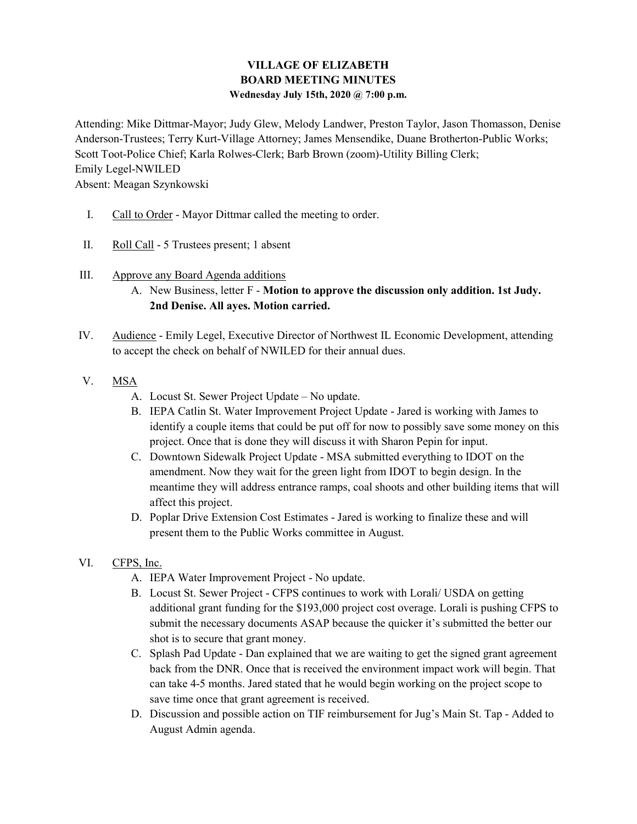## VILLAGE OF ELIZABETH BOARD MEETING MINUTES Wednesday July 15th, 2020 @ 7:00 p.m.

Attending: Mike Dittmar-Mayor; Judy Glew, Melody Landwer, Preston Taylor, Jason Thomasson, Denise Anderson-Trustees; Terry Kurt-Village Attorney; James Mensendike, Duane Brotherton-Public Works; Scott Toot-Police Chief; Karla Rolwes-Clerk; Barb Brown (zoom)-Utility Billing Clerk; Emily Legel-NWILED Absent: Meagan Szynkowski

- I. Call to Order Mayor Dittmar called the meeting to order.
- II. Roll Call 5 Trustees present; 1 absent
- III. Approve any Board Agenda additions
	- A. New Business, letter F Motion to approve the discussion only addition. 1st Judy. 2nd Denise. All ayes. Motion carried.
- IV. Audience Emily Legel, Executive Director of Northwest IL Economic Development, attending to accept the check on behalf of NWILED for their annual dues.
- V. MSA
	- A. Locust St. Sewer Project Update No update.
	- B. IEPA Catlin St. Water Improvement Project Update Jared is working with James to identify a couple items that could be put off for now to possibly save some money on this project. Once that is done they will discuss it with Sharon Pepin for input.
	- C. Downtown Sidewalk Project Update MSA submitted everything to IDOT on the amendment. Now they wait for the green light from IDOT to begin design. In the meantime they will address entrance ramps, coal shoots and other building items that will affect this project.
	- D. Poplar Drive Extension Cost Estimates Jared is working to finalize these and will present them to the Public Works committee in August.

# VI. CFPS, Inc.

- A. IEPA Water Improvement Project No update.
- B. Locust St. Sewer Project CFPS continues to work with Lorali/ USDA on getting additional grant funding for the \$193,000 project cost overage. Lorali is pushing CFPS to submit the necessary documents ASAP because the quicker it's submitted the better our shot is to secure that grant money.
- C. Splash Pad Update Dan explained that we are waiting to get the signed grant agreement back from the DNR. Once that is received the environment impact work will begin. That can take 4-5 months. Jared stated that he would begin working on the project scope to save time once that grant agreement is received.
- D. Discussion and possible action on TIF reimbursement for Jug's Main St. Tap Added to August Admin agenda.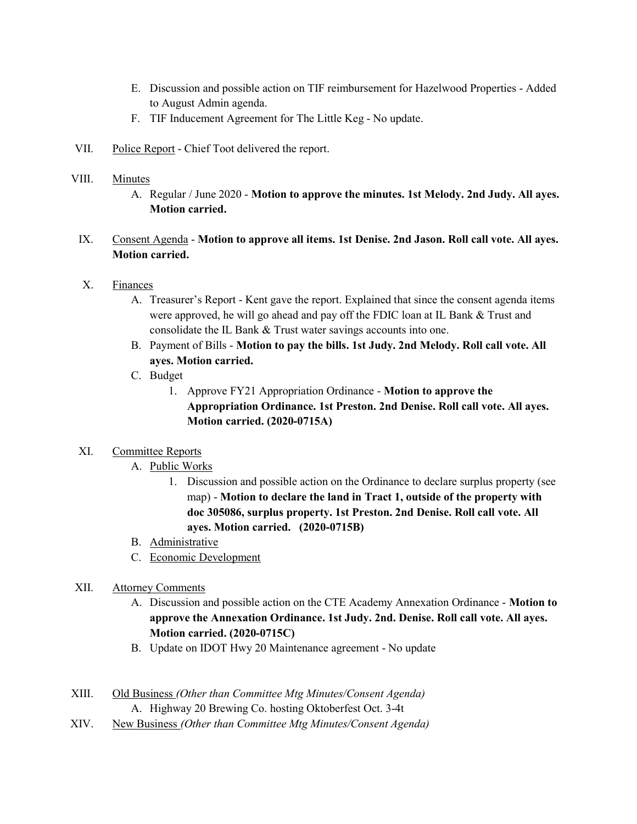- E. Discussion and possible action on TIF reimbursement for Hazelwood Properties Added to August Admin agenda.
- F. TIF Inducement Agreement for The Little Keg No update.
- VII. Police Report Chief Toot delivered the report.

#### VIII. Minutes

A. Regular / June 2020 - Motion to approve the minutes. 1st Melody. 2nd Judy. All ayes. Motion carried.

### IX. Consent Agenda - Motion to approve all items. 1st Denise. 2nd Jason. Roll call vote. All ayes. Motion carried.

### X. Finances

- A. Treasurer's Report Kent gave the report. Explained that since the consent agenda items were approved, he will go ahead and pay off the FDIC loan at IL Bank & Trust and consolidate the IL Bank & Trust water savings accounts into one.
- B. Payment of Bills Motion to pay the bills. 1st Judy. 2nd Melody. Roll call vote. All ayes. Motion carried.
- C. Budget
	- 1. Approve FY21 Appropriation Ordinance Motion to approve the Appropriation Ordinance. 1st Preston. 2nd Denise. Roll call vote. All ayes. Motion carried. (2020-0715A)

### XI. Committee Reports

- A. Public Works
	- 1. Discussion and possible action on the Ordinance to declare surplus property (see map) - Motion to declare the land in Tract 1, outside of the property with doc 305086, surplus property. 1st Preston. 2nd Denise. Roll call vote. All ayes. Motion carried. (2020-0715B)
- B. Administrative
- C. Economic Development

### XII. Attorney Comments

- A. Discussion and possible action on the CTE Academy Annexation Ordinance Motion to approve the Annexation Ordinance. 1st Judy. 2nd. Denise. Roll call vote. All ayes. Motion carried. (2020-0715C)
- B. Update on IDOT Hwy 20 Maintenance agreement No update
- XIII. Old Business (Other than Committee Mtg Minutes/Consent Agenda) A. Highway 20 Brewing Co. hosting Oktoberfest Oct. 3-4t
- XIV. New Business (Other than Committee Mtg Minutes/Consent Agenda)